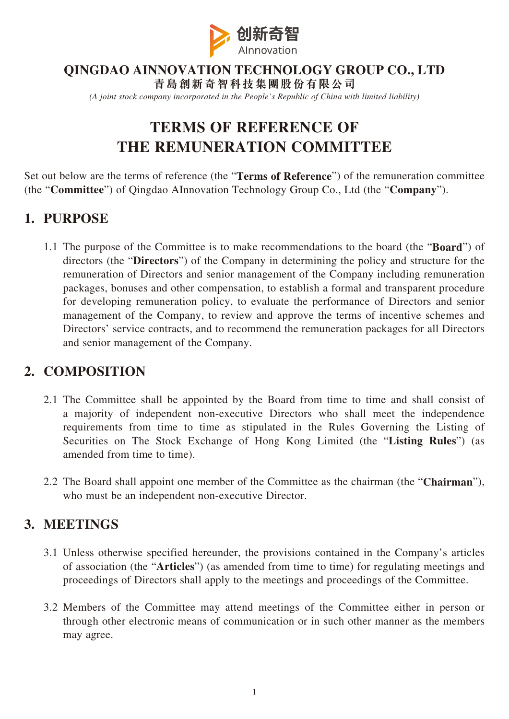

## **QINGDAO AINNOVATION TECHNOLOGY GROUP CO., LTD**

**青島創新奇智科技集團股份有限公司** *(A joint stock company incorporated in the People's Republic of China with limited liability)*

# **TERMS OF REFERENCE OF THE REMUNERATION COMMITTEE**

Set out below are the terms of reference (the "**Terms of Reference**") of the remuneration committee (the "**Committee**") of Qingdao AInnovation Technology Group Co., Ltd (the "**Company**").

#### **1. PURPOSE**

1.1 The purpose of the Committee is to make recommendations to the board (the "**Board**") of directors (the "**Directors**") of the Company in determining the policy and structure for the remuneration of Directors and senior management of the Company including remuneration packages, bonuses and other compensation, to establish a formal and transparent procedure for developing remuneration policy, to evaluate the performance of Directors and senior management of the Company, to review and approve the terms of incentive schemes and Directors' service contracts, and to recommend the remuneration packages for all Directors and senior management of the Company.

#### **2. COMPOSITION**

- 2.1 The Committee shall be appointed by the Board from time to time and shall consist of a majority of independent non-executive Directors who shall meet the independence requirements from time to time as stipulated in the Rules Governing the Listing of Securities on The Stock Exchange of Hong Kong Limited (the "**Listing Rules**") (as amended from time to time).
- 2.2 The Board shall appoint one member of the Committee as the chairman (the "**Chairman**"), who must be an independent non-executive Director.

#### **3. MEETINGS**

- 3.1 Unless otherwise specified hereunder, the provisions contained in the Company's articles of association (the "**Articles**") (as amended from time to time) for regulating meetings and proceedings of Directors shall apply to the meetings and proceedings of the Committee.
- 3.2 Members of the Committee may attend meetings of the Committee either in person or through other electronic means of communication or in such other manner as the members may agree.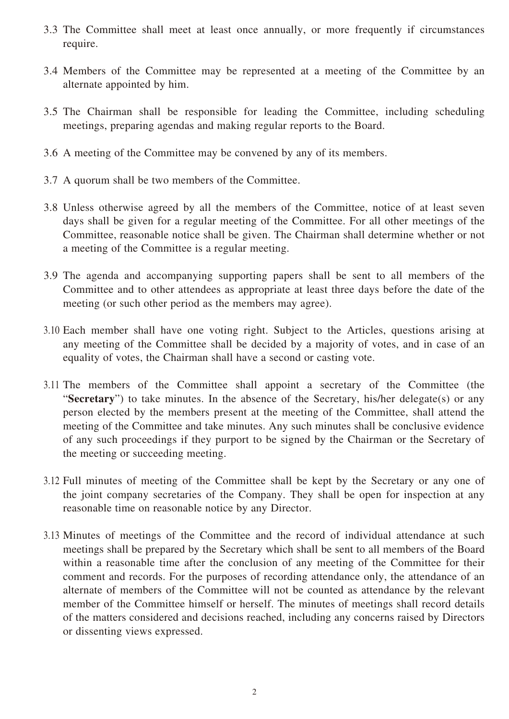- 3.3 The Committee shall meet at least once annually, or more frequently if circumstances require.
- 3.4 Members of the Committee may be represented at a meeting of the Committee by an alternate appointed by him.
- 3.5 The Chairman shall be responsible for leading the Committee, including scheduling meetings, preparing agendas and making regular reports to the Board.
- 3.6 A meeting of the Committee may be convened by any of its members.
- 3.7 A quorum shall be two members of the Committee.
- 3.8 Unless otherwise agreed by all the members of the Committee, notice of at least seven days shall be given for a regular meeting of the Committee. For all other meetings of the Committee, reasonable notice shall be given. The Chairman shall determine whether or not a meeting of the Committee is a regular meeting.
- 3.9 The agenda and accompanying supporting papers shall be sent to all members of the Committee and to other attendees as appropriate at least three days before the date of the meeting (or such other period as the members may agree).
- 3.10 Each member shall have one voting right. Subject to the Articles, questions arising at any meeting of the Committee shall be decided by a majority of votes, and in case of an equality of votes, the Chairman shall have a second or casting vote.
- 3.11 The members of the Committee shall appoint a secretary of the Committee (the "**Secretary**") to take minutes. In the absence of the Secretary, his/her delegate(s) or any person elected by the members present at the meeting of the Committee, shall attend the meeting of the Committee and take minutes. Any such minutes shall be conclusive evidence of any such proceedings if they purport to be signed by the Chairman or the Secretary of the meeting or succeeding meeting.
- 3.12 Full minutes of meeting of the Committee shall be kept by the Secretary or any one of the joint company secretaries of the Company. They shall be open for inspection at any reasonable time on reasonable notice by any Director.
- 3.13 Minutes of meetings of the Committee and the record of individual attendance at such meetings shall be prepared by the Secretary which shall be sent to all members of the Board within a reasonable time after the conclusion of any meeting of the Committee for their comment and records. For the purposes of recording attendance only, the attendance of an alternate of members of the Committee will not be counted as attendance by the relevant member of the Committee himself or herself. The minutes of meetings shall record details of the matters considered and decisions reached, including any concerns raised by Directors or dissenting views expressed.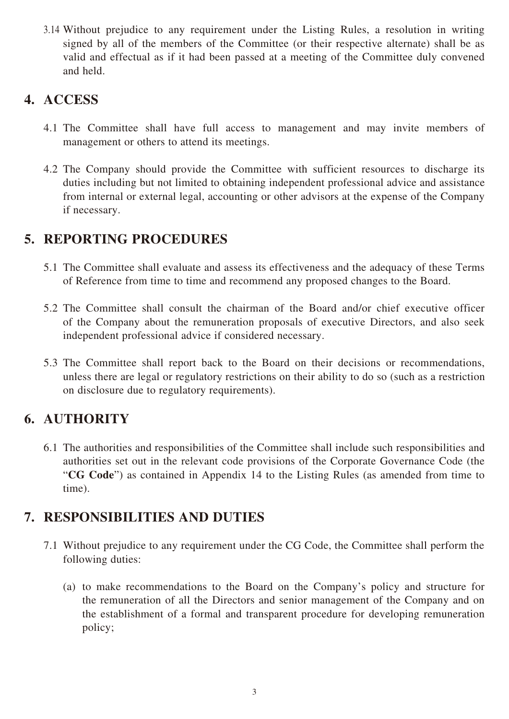3.14 Without prejudice to any requirement under the Listing Rules, a resolution in writing signed by all of the members of the Committee (or their respective alternate) shall be as valid and effectual as if it had been passed at a meeting of the Committee duly convened and held.

#### **4. ACCESS**

- 4.1 The Committee shall have full access to management and may invite members of management or others to attend its meetings.
- 4.2 The Company should provide the Committee with sufficient resources to discharge its duties including but not limited to obtaining independent professional advice and assistance from internal or external legal, accounting or other advisors at the expense of the Company if necessary.

#### **5. REPORTING PROCEDURES**

- 5.1 The Committee shall evaluate and assess its effectiveness and the adequacy of these Terms of Reference from time to time and recommend any proposed changes to the Board.
- 5.2 The Committee shall consult the chairman of the Board and/or chief executive officer of the Company about the remuneration proposals of executive Directors, and also seek independent professional advice if considered necessary.
- 5.3 The Committee shall report back to the Board on their decisions or recommendations, unless there are legal or regulatory restrictions on their ability to do so (such as a restriction on disclosure due to regulatory requirements).

# **6. AUTHORITY**

6.1 The authorities and responsibilities of the Committee shall include such responsibilities and authorities set out in the relevant code provisions of the Corporate Governance Code (the "**CG Code**") as contained in Appendix 14 to the Listing Rules (as amended from time to time).

## **7. RESPONSIBILITIES AND DUTIES**

- 7.1 Without prejudice to any requirement under the CG Code, the Committee shall perform the following duties:
	- (a) to make recommendations to the Board on the Company's policy and structure for the remuneration of all the Directors and senior management of the Company and on the establishment of a formal and transparent procedure for developing remuneration policy;